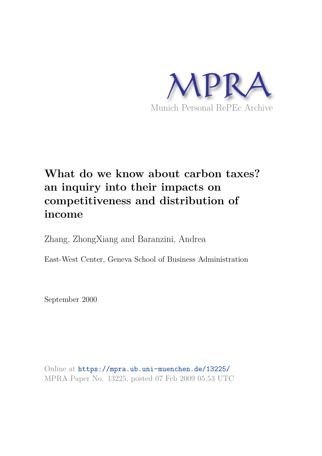

# **What do we know about carbon taxes? an inquiry into their impacts on competitiveness and distribution of income**

Zhang, ZhongXiang and Baranzini, Andrea

East-West Center, Geneva School of Business Administration

September 2000

Online at https://mpra.ub.uni-muenchen.de/13225/ MPRA Paper No. 13225, posted 07 Feb 2009 05:53 UTC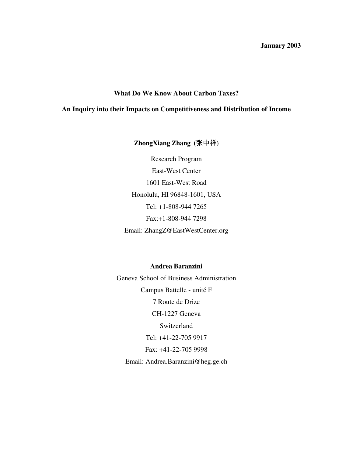# **January 2003**

# **What Do We Know About Carbon Taxes?**

# **An Inquiry into their Impacts on Competitiveness and Distribution of Income**

# **ZhongXiang Zhang (**张中祥)

Research Program East-West Center 1601 East-West Road Honolulu, HI 96848-1601, USA Tel: +1-808-944 7265 Fax:+1-808-944 7298 Email: ZhangZ@EastWestCenter.org

# **Andrea Baranzini**

Geneva School of Business Administration Campus Battelle - unité F 7 Route de Drize CH-1227 Geneva Switzerland Tel: +41-22-705 9917 Fax: +41-22-705 9998 Email: Andrea.Baranzini@heg.ge.ch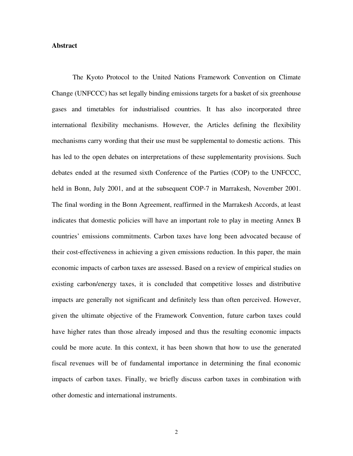# **Abstract**

 The Kyoto Protocol to the United Nations Framework Convention on Climate Change (UNFCCC) has set legally binding emissions targets for a basket of six greenhouse gases and timetables for industrialised countries. It has also incorporated three international flexibility mechanisms. However, the Articles defining the flexibility mechanisms carry wording that their use must be supplemental to domestic actions. This has led to the open debates on interpretations of these supplementarity provisions. Such debates ended at the resumed sixth Conference of the Parties (COP) to the UNFCCC, held in Bonn, July 2001, and at the subsequent COP-7 in Marrakesh, November 2001. The final wording in the Bonn Agreement, reaffirmed in the Marrakesh Accords, at least indicates that domestic policies will have an important role to play in meeting Annex B countries' emissions commitments. Carbon taxes have long been advocated because of their cost-effectiveness in achieving a given emissions reduction. In this paper, the main economic impacts of carbon taxes are assessed. Based on a review of empirical studies on existing carbon/energy taxes, it is concluded that competitive losses and distributive impacts are generally not significant and definitely less than often perceived. However, given the ultimate objective of the Framework Convention, future carbon taxes could have higher rates than those already imposed and thus the resulting economic impacts could be more acute. In this context, it has been shown that how to use the generated fiscal revenues will be of fundamental importance in determining the final economic impacts of carbon taxes. Finally, we briefly discuss carbon taxes in combination with other domestic and international instruments.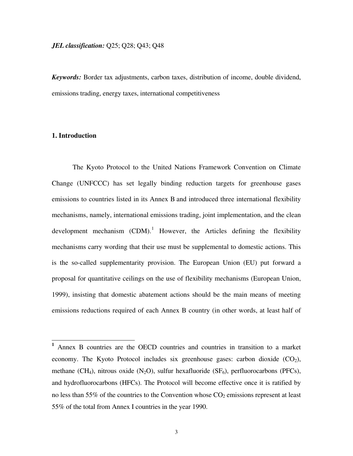## *JEL classification:* Q25; Q28; Q43; Q48

*Keywords:* Border tax adjustments, carbon taxes, distribution of income, double dividend, emissions trading, energy taxes, international competitiveness

# **1. Introduction**

 $\overline{a}$ 

The Kyoto Protocol to the United Nations Framework Convention on Climate Change (UNFCCC) has set legally binding reduction targets for greenhouse gases emissions to countries listed in its Annex B and introduced three international flexibility mechanisms, namely, international emissions trading, joint implementation, and the clean development mechanism  $(CDM)$ .<sup>[1](#page-3-0)</sup> However, the Articles defining the flexibility mechanisms carry wording that their use must be supplemental to domestic actions. This is the so-called supplementarity provision. The European Union (EU) put forward a proposal for quantitative ceilings on the use of flexibility mechanisms (European Union, 1999), insisting that domestic abatement actions should be the main means of meeting emissions reductions required of each Annex B country (in other words, at least half of

<span id="page-3-0"></span>**<sup>1</sup>** Annex B countries are the OECD countries and countries in transition to a market economy. The Kyoto Protocol includes six greenhouse gases: carbon dioxide  $(CO<sub>2</sub>)$ , methane (CH<sub>4</sub>), nitrous oxide (N<sub>2</sub>O), sulfur hexafluoride (SF<sub>6</sub>), perfluorocarbons (PFCs), and hydrofluorocarbons (HFCs). The Protocol will become effective once it is ratified by no less than 55% of the countries to the Convention whose  $CO<sub>2</sub>$  emissions represent at least 55% of the total from Annex I countries in the year 1990.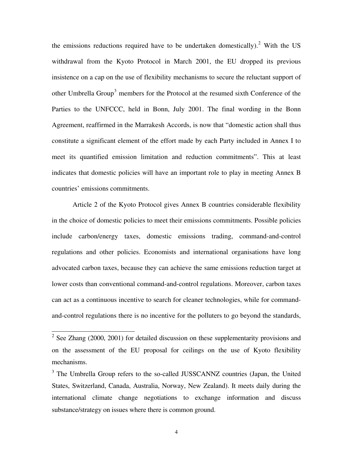the emissions reductions required have to be undertaken domestically).<sup>[2](#page-4-0)</sup> With the US withdrawal from the Kyoto Protocol in March 2001, the EU dropped its previous insistence on a cap on the use of flexibility mechanisms to secure the reluctant support of other Umbrella Group<sup>[3](#page-4-1)</sup> members for the Protocol at the resumed sixth Conference of the Parties to the UNFCCC, held in Bonn, July 2001. The final wording in the Bonn Agreement, reaffirmed in the Marrakesh Accords, is now that "domestic action shall thus constitute a significant element of the effort made by each Party included in Annex I to meet its quantified emission limitation and reduction commitments". This at least indicates that domestic policies will have an important role to play in meeting Annex B countries' emissions commitments.

Article 2 of the Kyoto Protocol gives Annex B countries considerable flexibility in the choice of domestic policies to meet their emissions commitments. Possible policies include carbon/energy taxes, domestic emissions trading, command-and-control regulations and other policies. Economists and international organisations have long advocated carbon taxes, because they can achieve the same emissions reduction target at lower costs than conventional command-and-control regulations. Moreover, carbon taxes can act as a continuous incentive to search for cleaner technologies, while for commandand-control regulations there is no incentive for the polluters to go beyond the standards,

<span id="page-4-0"></span><sup>&</sup>lt;sup>2</sup> See Zhang (2000, 2001) for detailed discussion on these supplementarity provisions and on the assessment of the EU proposal for ceilings on the use of Kyoto flexibility mechanisms.

<span id="page-4-1"></span><sup>&</sup>lt;sup>3</sup> The Umbrella Group refers to the so-called JUSSCANNZ countries (Japan, the United States, Switzerland, Canada, Australia, Norway, New Zealand). It meets daily during the international climate change negotiations to exchange information and discuss substance/strategy on issues where there is common ground.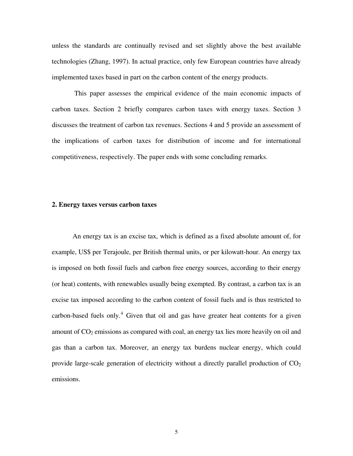unless the standards are continually revised and set slightly above the best available technologies (Zhang, 1997). In actual practice, only few European countries have already implemented taxes based in part on the carbon content of the energy products.

 This paper assesses the empirical evidence of the main economic impacts of carbon taxes. Section 2 briefly compares carbon taxes with energy taxes. Section 3 discusses the treatment of carbon tax revenues. Sections 4 and 5 provide an assessment of the implications of carbon taxes for distribution of income and for international competitiveness, respectively. The paper ends with some concluding remarks.

#### **2. Energy taxes versus carbon taxes**

<span id="page-5-0"></span> An energy tax is an excise tax, which is defined as a fixed absolute amount of, for example, US\$ per Terajoule, per British thermal units, or per kilowatt-hour. An energy tax is imposed on both fossil fuels and carbon free energy sources, according to their energy (or heat) contents, with renewables usually being exempted. By contrast, a carbon tax is an excise tax imposed according to the carbon content of fossil fuels and is thus restricted to carbon-based fuels only. $4$  Given that oil and gas have greater heat contents for a given amount of  $CO<sub>2</sub>$  emissions as compared with coal, an energy tax lies more heavily on oil and gas than a carbon tax. Moreover, an energy tax burdens nuclear energy, which could provide large-scale generation of electricity without a directly parallel production of  $CO<sub>2</sub>$ emissions.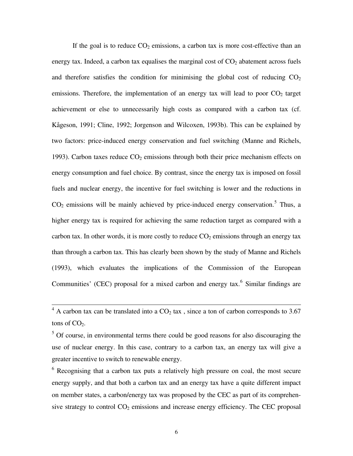If the goal is to reduce  $CO<sub>2</sub>$  emissions, a carbon tax is more cost-effective than an energy tax. Indeed, a carbon tax equalises the marginal cost of  $CO<sub>2</sub>$  abatement across fuels and therefore satisfies the condition for minimising the global cost of reducing  $CO<sub>2</sub>$ emissions. Therefore, the implementation of an energy tax will lead to poor  $CO<sub>2</sub>$  target achievement or else to unnecessarily high costs as compared with a carbon tax (cf. Kågeson, 1991; Cline, 1992; Jorgenson and Wilcoxen, 1993b). This can be explained by two factors: price-induced energy conservation and fuel switching (Manne and Richels, 1993). Carbon taxes reduce  $CO<sub>2</sub>$  emissions through both their price mechanism effects on energy consumption and fuel choice. By contrast, since the energy tax is imposed on fossil fuels and nuclear energy, the incentive for fuel switching is lower and the reductions in  $CO<sub>2</sub>$  emissions will be mainly achieved by price-induced energy conservation.<sup>[5](#page-6-0)</sup> Thus, a higher energy tax is required for achieving the same reduction target as compared with a carbon tax. In other words, it is more costly to reduce  $CO<sub>2</sub>$  emissions through an energy tax than through a carbon tax. This has clearly been shown by the study of Manne and Richels (1993), which evaluates the implications of the Commission of the European Communities' (CEC) proposal for a mixed carbon and energy tax.<sup>[6](#page-6-1)</sup> Similar findings are

<span id="page-6-1"></span><sup>6</sup> Recognising that a carbon tax puts a relatively high pressure on coal, the most secure energy supply, and that both a carbon tax and an energy tax have a quite different impact on member states, a carbon/energy tax was proposed by the CEC as part of its comprehensive strategy to control  $CO<sub>2</sub>$  emissions and increase energy efficiency. The CEC proposal

 $^{4}$  A carbon tax can be translated into a CO<sub>2</sub> tax, since a ton of carbon corresponds to 3.67 tons of  $CO<sub>2</sub>$ .

<span id="page-6-0"></span> $5$  Of course, in environmental terms there could be good reasons for also discouraging the use of nuclear energy. In this case, contrary to a carbon tax, an energy tax will give a greater incentive to switch to renewable energy.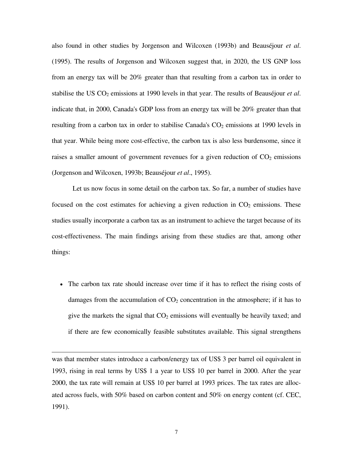also found in other studies by Jorgenson and Wilcoxen (1993b) and Beauséjour *et al*. (1995). The results of Jorgenson and Wilcoxen suggest that, in 2020, the US GNP loss from an energy tax will be 20% greater than that resulting from a carbon tax in order to stabilise the US CO2 emissions at 1990 levels in that year. The results of Beauséjour *et al*. indicate that, in 2000, Canada's GDP loss from an energy tax will be 20% greater than that resulting from a carbon tax in order to stabilise Canada's  $CO<sub>2</sub>$  emissions at 1990 levels in that year. While being more cost-effective, the carbon tax is also less burdensome, since it raises a smaller amount of government revenues for a given reduction of  $CO<sub>2</sub>$  emissions (Jorgenson and Wilcoxen, 1993b; Beauséjour *et al*., 1995).

 Let us now focus in some detail on the carbon tax. So far, a number of studies have focused on the cost estimates for achieving a given reduction in  $CO<sub>2</sub>$  emissions. These studies usually incorporate a carbon tax as an instrument to achieve the target because of its cost-effectiveness. The main findings arising from these studies are that, among other things:

• The carbon tax rate should increase over time if it has to reflect the rising costs of damages from the accumulation of  $CO<sub>2</sub>$  concentration in the atmosphere; if it has to give the markets the signal that  $CO<sub>2</sub>$  emissions will eventually be heavily taxed; and if there are few economically feasible substitutes available. This signal strengthens

was that member states introduce a carbon/energy tax of US\$ 3 per barrel oil equivalent in 1993, rising in real terms by US\$ 1 a year to US\$ 10 per barrel in 2000. After the year 2000, the tax rate will remain at US\$ 10 per barrel at 1993 prices. The tax rates are allocated across fuels, with 50% based on carbon content and 50% on energy content (cf. CEC, 1991).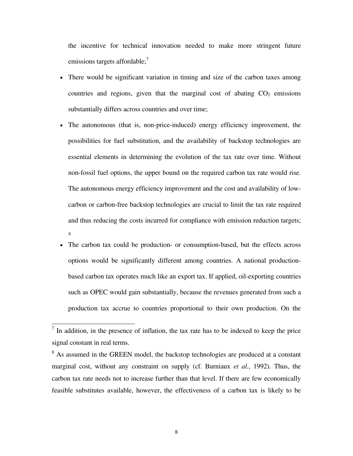the incentive for technical innovation needed to make more stringent future emissions targets affordable; $\frac{7}{2}$ 

- There would be significant variation in timing and size of the carbon taxes among countries and regions, given that the marginal cost of abating  $CO<sub>2</sub>$  emissions substantially differs across countries and over time;
- The autonomous (that is, non-price-induced) energy efficiency improvement, the possibilities for fuel substitution, and the availability of backstop technologies are essential elements in determining the evolution of the tax rate over time. Without non-fossil fuel options, the upper bound on the required carbon tax rate would rise. The autonomous energy efficiency improvement and the cost and availability of lowcarbon or carbon-free backstop technologies are crucial to limit the tax rate required and thus reducing the costs incurred for compliance with emission reduction targets; 8
- The carbon tax could be production- or consumption-based, but the effects across options would be significantly different among countries. A national productionbased carbon tax operates much like an export tax. If applied, oil-exporting countries such as OPEC would gain substantially, because the revenues generated from such a production tax accrue to countries proportional to their own production. On the

-

 $\frac{1}{1}$  In addition, in the presence of inflation, the tax rate has to be indexed to keep the price signal constant in real terms.

<sup>&</sup>lt;sup>8</sup> As assumed in the GREEN model, the backstop technologies are produced at a constant marginal cost, without any constraint on supply (cf. Burniaux *et al.*, 1992). Thus, the carbon tax rate needs not to increase further than that level. If there are few economically feasible substitutes available, however, the effectiveness of a carbon tax is likely to be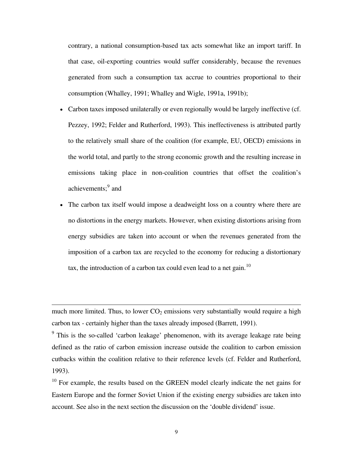contrary, a national consumption-based tax acts somewhat like an import tariff. In that case, oil-exporting countries would suffer considerably, because the revenues generated from such a consumption tax accrue to countries proportional to their consumption (Whalley, 1991; Whalley and Wigle, 1991a, 1991b);

- Carbon taxes imposed unilaterally or even regionally would be largely ineffective (cf. Pezzey, 1992; Felder and Rutherford, 1993). This ineffectiveness is attributed partly to the relatively small share of the coalition (for example, EU, OECD) emissions in the world total, and partly to the strong economic growth and the resulting increase in emissions taking place in non-coalition countries that offset the coalition's achievements;<sup>[9](#page-9-0)</sup> and
- The carbon tax itself would impose a deadweight loss on a country where there are no distortions in the energy markets. However, when existing distortions arising from energy subsidies are taken into account or when the revenues generated from the imposition of a carbon tax are recycled to the economy for reducing a distortionary tax, the introduction of a carbon tax could even lead to a net gain.<sup>[10](#page-9-1)</sup>

much more limited. Thus, to lower  $CO<sub>2</sub>$  emissions very substantially would require a high carbon tax - certainly higher than the taxes already imposed (Barrett, 1991).

 $\overline{a}$ 

<span id="page-9-0"></span><sup>9</sup> This is the so-called 'carbon leakage' phenomenon, with its average leakage rate being defined as the ratio of carbon emission increase outside the coalition to carbon emission cutbacks within the coalition relative to their reference levels (cf. Felder and Rutherford, 1993).

<span id="page-9-1"></span><sup>10</sup> For example, the results based on the GREEN model clearly indicate the net gains for Eastern Europe and the former Soviet Union if the existing energy subsidies are taken into account. See also in the next section the discussion on the 'double dividend' issue.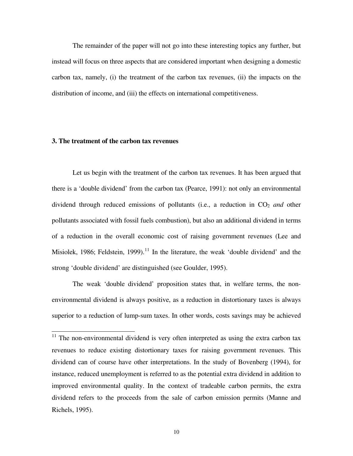The remainder of the paper will not go into these interesting topics any further, but instead will focus on three aspects that are considered important when designing a domestic carbon tax, namely, (i) the treatment of the carbon tax revenues, (ii) the impacts on the distribution of income, and (iii) the effects on international competitiveness.

# **3. The treatment of the carbon tax revenues**

 $\overline{a}$ 

of a reduction in the overall economic cost of raising government revenues (Lee and Let us begin with the treatment of the carbon tax revenues. It has been argued that there is a 'double dividend' from the carbon tax (Pearce, 1991): not only an environmental dividend through reduced emissions of pollutants (i.e., a reduction in CO<sub>2</sub> and other pollutants associated with fossil fuels combustion), but also an additional dividend in terms Misiolek, 1986; Feldstein, 1999).<sup>11</sup> In the literature, the weak 'double dividend' and the strong 'double dividend' are distinguished (see Goulder, 1995).

 The weak 'double dividend' proposition states that, in welfare terms, the nonenvironmental dividend is always positive, as a reduction in distortionary taxes is always superior to a reduction of lump-sum taxes. In other words, costs savings may be achieved

 $11$  The non-environmental dividend is very often interpreted as using the extra carbon tax revenues to reduce existing distortionary taxes for raising government revenues. This dividend can of course have other interpretations. In the study of Bovenberg (1994), for instance, reduced unemployment is referred to as the potential extra dividend in addition to improved environmental quality. In the context of tradeable carbon permits, the extra dividend refers to the proceeds from the sale of carbon emission permits (Manne and Richels, 1995).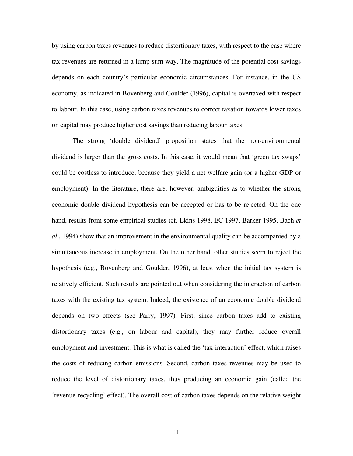by using carbon taxes revenues to reduce distortionary taxes, with respect to the case where tax revenues are returned in a lump-sum way. The magnitude of the potential cost savings depends on each country's particular economic circumstances. For instance, in the US economy, as indicated in Bovenberg and Goulder (1996), capital is overtaxed with respect to labour. In this case, using carbon taxes revenues to correct taxation towards lower taxes on capital may produce higher cost savings than reducing labour taxes.

 The strong 'double dividend' proposition states that the non-environmental dividend is larger than the gross costs. In this case, it would mean that 'green tax swaps' could be costless to introduce, because they yield a net welfare gain (or a higher GDP or employment). In the literature, there are, however, ambiguities as to whether the strong economic double dividend hypothesis can be accepted or has to be rejected. On the one hand, results from some empirical studies (cf. Ekins 1998, EC 1997, Barker 1995, Bach *et al*., 1994) show that an improvement in the environmental quality can be accompanied by a simultaneous increase in employment. On the other hand, other studies seem to reject the hypothesis (e.g., Bovenberg and Goulder, 1996), at least when the initial tax system is relatively efficient. Such results are pointed out when considering the interaction of carbon taxes with the existing tax system. Indeed, the existence of an economic double dividend depends on two effects (see Parry, 1997). First, since carbon taxes add to existing distortionary taxes (e.g., on labour and capital), they may further reduce overall employment and investment. This is what is called the 'tax-interaction' effect, which raises the costs of reducing carbon emissions. Second, carbon taxes revenues may be used to reduce the level of distortionary taxes, thus producing an economic gain (called the 'revenue-recycling' effect). The overall cost of carbon taxes depends on the relative weight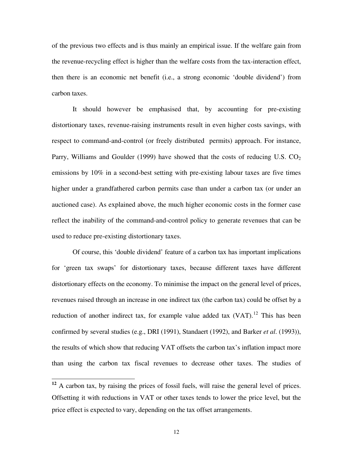of the previous two effects and is thus mainly an empirical issue. If the welfare gain from the revenue-recycling effect is higher than the welfare costs from the tax-interaction effect, then there is an economic net benefit (i.e., a strong economic 'double dividend') from carbon taxes.

auctioned case). As explained above, the much higher economic costs in the former case It should however be emphasised that, by accounting for pre-existing distortionary taxes, revenue-raising instruments result in even higher costs savings, with respect to command-and-control (or freely distributed permits) approach. For instance, Parry, Williams and Goulder (1999) have showed that the costs of reducing U.S.  $CO<sub>2</sub>$ emissions by 10% in a second-best setting with pre-existing labour taxes are five times higher under a grandfathered carbon permits case than under a carbon tax (or under an reflect the inability of the command-and-control policy to generate revenues that can be used to reduce pre-existing distortionary taxes.

 Of course, this 'double dividend' feature of a carbon tax has important implications for 'green tax swaps' for distortionary taxes, because different taxes have different distortionary effects on the economy. To minimise the impact on the general level of prices, revenues raised through an increase in one indirect tax (the carbon tax) could be offset by a reduction of another indirect tax, for example value added tax  $(VAT)$ .<sup>[12](#page-12-0)</sup> This has been confirmed by several studies (e.g., DRI (1991), Standaert (1992), and Barker *et al*. (1993)), the results of which show that reducing VAT offsets the carbon tax's inflation impact more than using the carbon tax fiscal revenues to decrease other taxes. The studies of

<span id="page-12-0"></span><sup>&</sup>lt;sup>12</sup> A carbon tax, by raising the prices of fossil fuels, will raise the general level of prices. Offsetting it with reductions in VAT or other taxes tends to lower the price level, but the price effect is expected to vary, depending on the tax offset arrangements.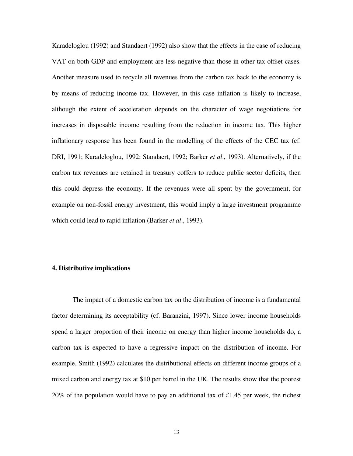Karadeloglou (1992) and Standaert (1992) also show that the effects in the case of reducing VAT on both GDP and employment are less negative than those in other tax offset cases. Another measure used to recycle all revenues from the carbon tax back to the economy is by means of reducing income tax. However, in this case inflation is likely to increase, although the extent of acceleration depends on the character of wage negotiations for increases in disposable income resulting from the reduction in income tax. This higher inflationary response has been found in the modelling of the effects of the CEC tax (cf. DRI, 1991; Karadeloglou, 1992; Standaert, 1992; Barker *et al*., 1993). Alternatively, if the carbon tax revenues are retained in treasury coffers to reduce public sector deficits, then this could depress the economy. If the revenues were all spent by the government, for example on non-fossil energy investment, this would imply a large investment programme which could lead to rapid inflation (Barker *et al.*, 1993).

# **4. Distributive implications**

 The impact of a domestic carbon tax on the distribution of income is a fundamental factor determining its acceptability (cf. Baranzini, 1997). Since lower income households spend a larger proportion of their income on energy than higher income households do, a carbon tax is expected to have a regressive impact on the distribution of income. For example, Smith (1992) calculates the distributional effects on different income groups of a mixed carbon and energy tax at \$10 per barrel in the UK. The results show that the poorest 20% of the population would have to pay an additional tax of £1.45 per week, the richest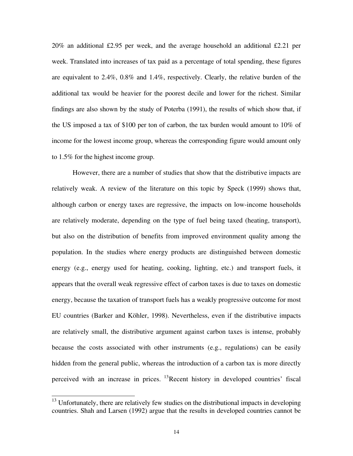20% an additional £2.95 per week, and the average household an additional £2.21 per week. Translated into increases of tax paid as a percentage of total spending, these figures are equivalent to 2.4%, 0.8% and 1.4%, respectively. Clearly, the relative burden of the additional tax would be heavier for the poorest decile and lower for the richest. Similar findings are also shown by the study of Poterba (1991), the results of which show that, if the US imposed a tax of \$100 per ton of carbon, the tax burden would amount to 10% of income for the lowest income group, whereas the corresponding figure would amount only to 1.5% for the highest income group.

hidden from the general public, whereas the introduction of a carbon tax is more directly However, there are a number of studies that show that the distributive impacts are relatively weak. A review of the literature on this topic by Speck (1999) shows that, although carbon or energy taxes are regressive, the impacts on low-income households are relatively moderate, depending on the type of fuel being taxed (heating, transport), but also on the distribution of benefits from improved environment quality among the population. In the studies where energy products are distinguished between domestic energy (e.g., energy used for heating, cooking, lighting, etc.) and transport fuels, it appears that the overall weak regressive effect of carbon taxes is due to taxes on domestic energy, because the taxation of transport fuels has a weakly progressive outcome for most EU countries (Barker and Köhler, 1998). Nevertheless, even if the distributive impacts are relatively small, the distributive argument against carbon taxes is intense, probably because the costs associated with other instruments (e.g., regulations) can be easily perceived with an increase in prices.  $^{13}$ Recent history in developed countries' fiscal

-

<span id="page-14-0"></span> $13$  Unfortunately, there are relatively few studies on the distributional impacts in developing countries. Shah and Larsen (1992) argue that the results in developed countries cannot be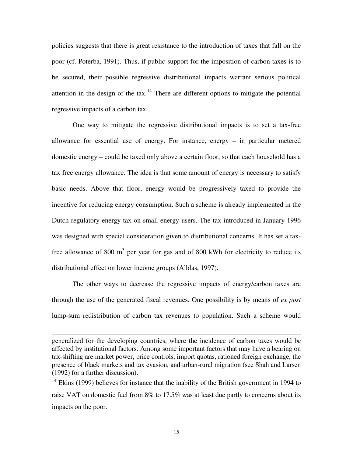policies suggests that there is great resistance to the introduction of taxes that fall on the poor (cf. Poterba, 1991). Thus, if public support for the imposition of carbon taxes is to be secured, their possible regressive distributional impacts warrant serious political attention in the design of the tax.<sup>[14](#page-14-0)</sup> There are different options to mitigate the potential regressive impacts of a carbon tax.

One way to mitigate the regressive distributional impacts is to set a tax-free allowance for essential use of energy. For instance, energy – in particular metered domestic energy – could be taxed only above a certain floor, so that each household has a tax free energy allowance. The idea is that some amount of energy is necessary to satisfy basic needs. Above that floor, energy would be progressively taxed to provide the incentive for reducing energy consumption. Such a scheme is already implemented in the Dutch regulatory energy tax on small energy users. The tax introduced in January 1996 was designed with special consideration given to distributional concerns. It has set a taxfree allowance of 800  $m<sup>3</sup>$  per year for gas and of 800 kWh for electricity to reduce its distributional effect on lower income groups (Alblas, 1997).

The other ways to decrease the regressive impacts of energy/carbon taxes are through the use of the generated fiscal revenues. One possibility is by means of *ex post* lump-sum redistribution of carbon tax revenues to population. Such a scheme would

-

affected by institutional factors. Among some important factors that may have a bearing on generalized for the developing countries, where the incidence of carbon taxes would be tax-shifting are market power, price controls, import quotas, rationed foreign exchange, the presence of black markets and tax evasion, and urban-rural migration (see Shah and Larsen (1992) for a further discussion).

 $14$  Ekins (1999) believes for instance that the inability of the British government in 1994 to raise VAT on domestic fuel from 8% to 17.5% was at least due partly to concerns about its impacts on the poor.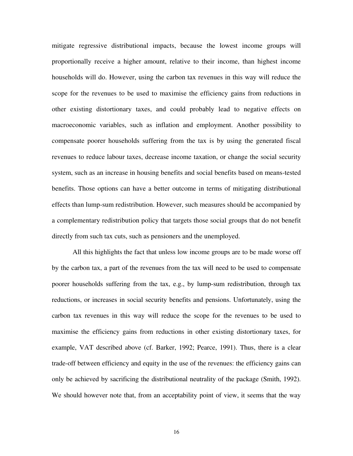mitigate regressive distributional impacts, because the lowest income groups will proportionally receive a higher amount, relative to their income, than highest income households will do. However, using the carbon tax revenues in this way will reduce the scope for the revenues to be used to maximise the efficiency gains from reductions in other existing distortionary taxes, and could probably lead to negative effects on macroeconomic variables, such as inflation and employment. Another possibility to compensate poorer households suffering from the tax is by using the generated fiscal revenues to reduce labour taxes, decrease income taxation, or change the social security system, such as an increase in housing benefits and social benefits based on means-tested benefits. Those options can have a better outcome in terms of mitigating distributional effects than lump-sum redistribution. However, such measures should be accompanied by a complementary redistribution policy that targets those social groups that do not benefit directly from such tax cuts, such as pensioners and the unemployed.

only be achieved by sacrificing the distributional neutrality of the package (Smith, 1992). All this highlights the fact that unless low income groups are to be made worse off by the carbon tax, a part of the revenues from the tax will need to be used to compensate poorer households suffering from the tax, e.g., by lump-sum redistribution, through tax reductions, or increases in social security benefits and pensions. Unfortunately, using the carbon tax revenues in this way will reduce the scope for the revenues to be used to maximise the efficiency gains from reductions in other existing distortionary taxes, for example, VAT described above (cf. Barker, 1992; Pearce, 1991). Thus, there is a clear trade-off between efficiency and equity in the use of the revenues: the efficiency gains can We should however note that, from an acceptability point of view, it seems that the way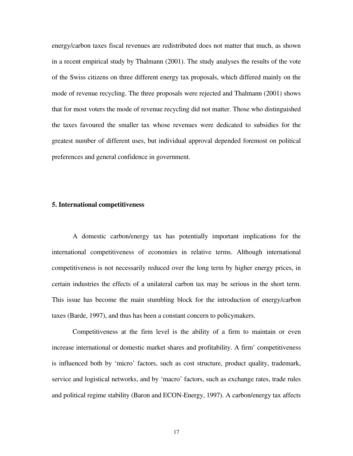energy/carbon taxes fiscal revenues are redistributed does not matter that much, as shown in a recent empirical study by Thalmann (2001). The study analyses the results of the vote of the Swiss citizens on three different energy tax proposals, which differed mainly on the mode of revenue recycling. The three proposals were rejected and Thalmann (2001) shows that for most voters the mode of revenue recycling did not matter. Those who distinguished the taxes favoured the smaller tax whose revenues were dedicated to subsidies for the greatest number of different uses, but individual approval depended foremost on political preferences and general confidence in government.

# **5. International competitiveness**

A domestic carbon/energy tax has potentially important implications for the international competitiveness of economies in relative terms. Although international competitiveness is not necessarily reduced over the long term by higher energy prices, in certain industries the effects of a unilateral carbon tax may be serious in the short term. This issue has become the main stumbling block for the introduction of energy/carbon taxes (Barde, 1997), and thus has been a constant concern to policymakers.

Competitiveness at the firm level is the ability of a firm to maintain or even increase international or domestic market shares and profitability. A firm' competitiveness is influenced both by 'micro' factors, such as cost structure, product quality, trademark, service and logistical networks, and by 'macro' factors, such as exchange rates, trade rules and political regime stability (Baron and ECON-Energy, 1997). A carbon/energy tax affects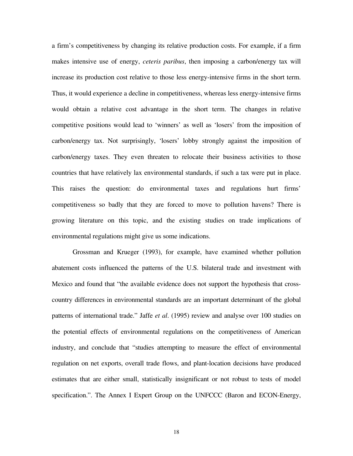a firm's competitiveness by changing its relative production costs. For example, if a firm makes intensive use of energy, *ceteris paribus*, then imposing a carbon/energy tax will increase its production cost relative to those less energy-intensive firms in the short term. Thus, it would experience a decline in competitiveness, whereas less energy-intensive firms would obtain a relative cost advantage in the short term. The changes in relative competitive positions would lead to 'winners' as well as 'losers' from the imposition of carbon/energy tax. Not surprisingly, 'losers' lobby strongly against the imposition of carbon/energy taxes. They even threaten to relocate their business activities to those countries that have relatively lax environmental standards, if such a tax were put in place. This raises the question: do environmental taxes and regulations hurt firms' competitiveness so badly that they are forced to move to pollution havens? There is growing literature on this topic, and the existing studies on trade implications of environmental regulations might give us some indications.

Grossman and Krueger (1993), for example, have examined whether pollution abatement costs influenced the patterns of the U.S. bilateral trade and investment with Mexico and found that "the available evidence does not support the hypothesis that crosscountry differences in environmental standards are an important determinant of the global patterns of international trade." Jaffe *et al*. (1995) review and analyse over 100 studies on the potential effects of environmental regulations on the competitiveness of American industry, and conclude that "studies attempting to measure the effect of environmental regulation on net exports, overall trade flows, and plant-location decisions have produced estimates that are either small, statistically insignificant or not robust to tests of model specification.". The Annex I Expert Group on the UNFCCC (Baron and ECON-Energy,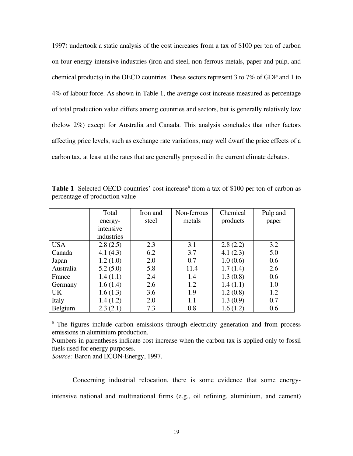1997) undertook a static analysis of the cost increases from a tax of \$100 per ton of carbon on four energy-intensive industries (iron and steel, non-ferrous metals, paper and pulp, and chemical products) in the OECD countries. These sectors represent 3 to 7% of GDP and 1 to 4% of labour force. As shown in Table 1, the average cost increase measured as percentage of total production value differs among countries and sectors, but is generally relatively low (below 2%) except for Australia and Canada. This analysis concludes that other factors affecting price levels, such as exchange rate variations, may well dwarf the price effects of a carbon tax, at least at the rates that are generally proposed in the current climate debates.

| <b>Table 1</b> Selected OECD countries' cost increase <sup>a</sup> from a tax of \$100 per ton of carbon as |  |  |  |
|-------------------------------------------------------------------------------------------------------------|--|--|--|
| percentage of production value                                                                              |  |  |  |

|            | Total      | Iron and | Non-ferrous | Chemical | Pulp and |
|------------|------------|----------|-------------|----------|----------|
|            | energy-    | steel    | metals      | products | paper    |
|            | intensive  |          |             |          |          |
|            | industries |          |             |          |          |
| <b>USA</b> | 2.8(2.5)   | 2.3      | 3.1         | 2.8(2.2) | 3.2      |
| Canada     | 4.1(4.3)   | 6.2      | 3.7         | 4.1(2.3) | 5.0      |
| Japan      | 1.2(1.0)   | 2.0      | 0.7         | 1.0(0.6) | 0.6      |
| Australia  | 5.2(5.0)   | 5.8      | 11.4        | 1.7(1.4) | 2.6      |
| France     | 1.4(1.1)   | 2.4      | 1.4         | 1.3(0.8) | 0.6      |
| Germany    | 1.6(1.4)   | 2.6      | 1.2         | 1.4(1.1) | 1.0      |
| UK         | 1.6(1.3)   | 3.6      | 1.9         | 1.2(0.8) | 1.2      |
| Italy      | 1.4(1.2)   | 2.0      | 1.1         | 1.3(0.9) | 0.7      |
| Belgium    | 2.3(2.1)   | 7.3      | 0.8         | 1.6(1.2) | 0.6      |

<sup>a</sup> The figures include carbon emissions through electricity generation and from process emissions in aluminium production.

Numbers in parentheses indicate cost increase when the carbon tax is applied only to fossil fuels used for energy purposes.

*Source:* Baron and ECON-Energy, 1997.

Concerning industrial relocation, there is some evidence that some energyintensive national and multinational firms (e.g., oil refining, aluminium, and cement)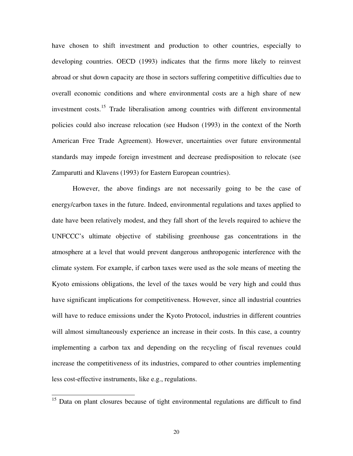have chosen to shift investment and production to other countries, especially to developing countries. OECD (1993) indicates that the firms more likely to reinvest abroad or shut down capacity are those in sectors suffering competitive difficulties due to overall economic conditions and where environmental costs are a high share of new investment costs.[15](#page-20-0) Trade liberalisation among countries with different environmental policies could also increase relocation (see Hudson (1993) in the context of the North American Free Trade Agreement). However, uncertainties over future environmental standards may impede foreign investment and decrease predisposition to relocate (see Zamparutti and Klavens (1993) for Eastern European countries).

However, the above findings are not necessarily going to be the case of energy/carbon taxes in the future. Indeed, environmental regulations and taxes applied to date have been relatively modest, and they fall short of the levels required to achieve the UNFCCC's ultimate objective of stabilising greenhouse gas concentrations in the atmosphere at a level that would prevent dangerous anthropogenic interference with the climate system. For example, if carbon taxes were used as the sole means of meeting the Kyoto emissions obligations, the level of the taxes would be very high and could thus have significant implications for competitiveness. However, since all industrial countries will have to reduce emissions under the Kyoto Protocol, industries in different countries will almost simultaneously experience an increase in their costs. In this case, a country implementing a carbon tax and depending on the recycling of fiscal revenues could increase the competitiveness of its industries, compared to other countries implementing less cost-effective instruments, like e.g., regulations.

<span id="page-20-0"></span><sup>&</sup>lt;sup>15</sup> Data on plant closures because of tight environmental regulations are difficult to find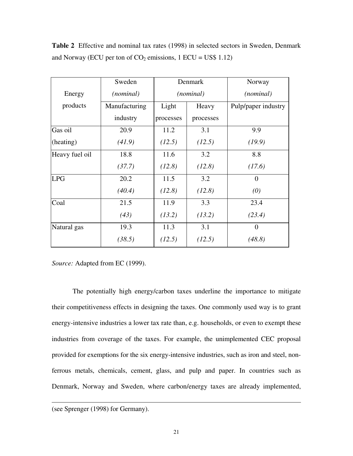|                | Sweden        | Denmark   |           | Norway              |  |
|----------------|---------------|-----------|-----------|---------------------|--|
| Energy         | (nominal)     | (nominal) |           | (nominal)           |  |
| products       | Manufacturing | Light     | Heavy     | Pulp/paper industry |  |
|                | industry      | processes | processes |                     |  |
| Gas oil        | 20.9          | 11.2      | 3.1       | 9.9                 |  |
| (heating)      | (41.9)        | (12.5)    | (12.5)    | (19.9)              |  |
| Heavy fuel oil | 18.8          | 11.6      | 3.2       | 8.8                 |  |
|                | (37.7)        | (12.8)    | (12.8)    | (17.6)              |  |
| <b>LPG</b>     | 20.2          | 11.5      | 3.2       | $\overline{0}$      |  |
|                | (40.4)        | (12.8)    | (12.8)    | (0)                 |  |
| Coal           | 21.5          | 11.9      | 3.3       | 23.4                |  |
|                | (43)          | (13.2)    | (13.2)    | (23.4)              |  |
| Natural gas    | 19.3          | 11.3      | 3.1       | $\overline{0}$      |  |
|                | (38.5)        | (12.5)    | (12.5)    | (48.8)              |  |

**Table 2** Effective and nominal tax rates (1998) in selected sectors in Sweden, Denmark and Norway (ECU per ton of  $CO<sub>2</sub>$  emissions, 1 ECU = US\$ 1.12)

*Source:* Adapted from EC (1999).

The potentially high energy/carbon taxes underline the importance to mitigate their competitiveness effects in designing the taxes. One commonly used way is to grant energy-intensive industries a lower tax rate than, e.g. households, or even to exempt these industries from coverage of the taxes. For example, the unimplemented CEC proposal provided for exemptions for the six energy-intensive industries, such as iron and steel, nonferrous metals, chemicals, cement, glass, and pulp and paper. In countries such as Denmark, Norway and Sweden, where carbon/energy taxes are already implemented,

<sup>(</sup>see Sprenger (1998) for Germany).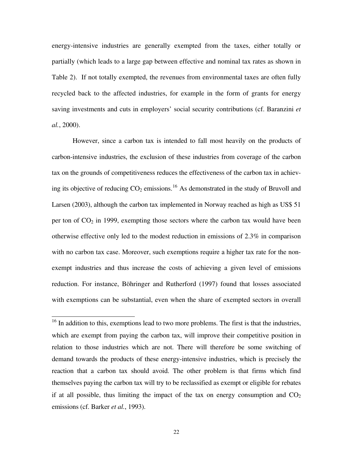energy-intensive industries are generally exempted from the taxes, either totally or partially (which leads to a large gap between effective and nominal tax rates as shown in Table 2). If not totally exempted, the revenues from environmental taxes are often fully recycled back to the affected industries, for example in the form of grants for energy saving investments and cuts in employers' social security contributions (cf. Baranzini *et al.*, 2000).

However, since a carbon tax is intended to fall most heavily on the products of carbon-intensive industries, the exclusion of these industries from coverage of the carbon tax on the grounds of competitiveness reduces the effectiveness of the carbon tax in achieving its objective of reducing  $CO_2$  emissions.<sup>[16](#page-22-0)</sup> As demonstrated in the study of Bruvoll and Larsen (2003), although the carbon tax implemented in Norway reached as high as US\$ 51 per ton of  $CO<sub>2</sub>$  in 1999, exempting those sectors where the carbon tax would have been otherwise effective only led to the modest reduction in emissions of 2.3% in comparison with no carbon tax case. Moreover, such exemptions require a higher tax rate for the nonexempt industries and thus increase the costs of achieving a given level of emissions reduction. For instance, Böhringer and Rutherford (1997) found that losses associated with exemptions can be substantial, even when the share of exempted sectors in overall

<span id="page-22-0"></span> $16$  In addition to this, exemptions lead to two more problems. The first is that the industries, which are exempt from paying the carbon tax, will improve their competitive position in relation to those industries which are not. There will therefore be some switching of demand towards the products of these energy-intensive industries, which is precisely the reaction that a carbon tax should avoid. The other problem is that firms which find themselves paying the carbon tax will try to be reclassified as exempt or eligible for rebates if at all possible, thus limiting the impact of the tax on energy consumption and  $CO<sub>2</sub>$ emissions (cf. Barker *et al.*, 1993).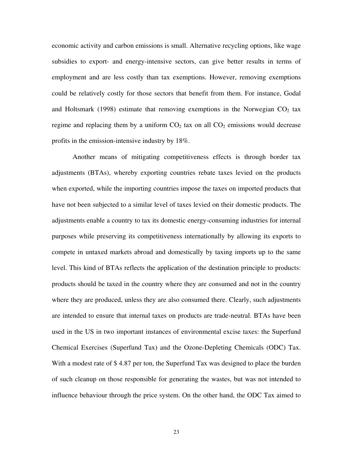economic activity and carbon emissions is small. Alternative recycling options, like wage subsidies to export- and energy-intensive sectors, can give better results in terms of employment and are less costly than tax exemptions. However, removing exemptions could be relatively costly for those sectors that benefit from them. For instance, Godal and Holtsmark (1998) estimate that removing exemptions in the Norwegian  $CO<sub>2</sub>$  tax regime and replacing them by a uniform  $CO<sub>2</sub>$  tax on all  $CO<sub>2</sub>$  emissions would decrease profits in the emission-intensive industry by 18%.

 Another means of mitigating competitiveness effects is through border tax adjustments (BTAs), whereby exporting countries rebate taxes levied on the products when exported, while the importing countries impose the taxes on imported products that have not been subjected to a similar level of taxes levied on their domestic products. The adjustments enable a country to tax its domestic energy-consuming industries for internal purposes while preserving its competitiveness internationally by allowing its exports to compete in untaxed markets abroad and domestically by taxing imports up to the same level. This kind of BTAs reflects the application of the destination principle to products: products should be taxed in the country where they are consumed and not in the country where they are produced, unless they are also consumed there. Clearly, such adjustments are intended to ensure that internal taxes on products are trade-neutral. BTAs have been used in the US in two important instances of environmental excise taxes: the Superfund Chemical Exercises (Superfund Tax) and the Ozone-Depleting Chemicals (ODC) Tax. With a modest rate of \$4.87 per ton, the Superfund Tax was designed to place the burden of such cleanup on those responsible for generating the wastes, but was not intended to influence behaviour through the price system. On the other hand, the ODC Tax aimed to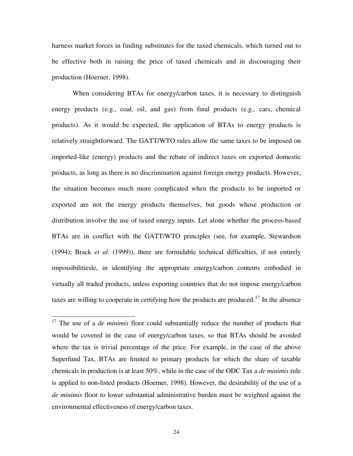harness market forces in finding substitutes for the taxed chemicals, which turned out to be effective both in raising the price of taxed chemicals and in discouraging their production (Hoerner, 1998).

 When considering BTAs for energy/carbon taxes, it is necessary to distinguish energy products (e.g., coal, oil, and gas) from final products (e.g., cars, chemical products). As it would be expected, the application of BTAs to energy products is relatively straightforward. The GATT/WTO rules allow the same taxes to be imposed on imported-like (energy) products and the rebate of indirect taxes on exported domestic products, as long as there is no discrimination against foreign energy products. However, the situation becomes much more complicated when the products to be imported or exported are not the energy products themselves, but goods whose production or distribution involve the use of taxed energy inputs. Let alone whether the process-based BTAs are in conflict with the GATT/WTO principles (see, for example, Stewardson (1994); Brack *et al.* (1999)), there are formidable technical difficulties, if not entirely impossibilitiesle, in identifying the appropriate energy/carbon contents embodied in virtually all traded products, unless exporting countries that do not impose energy/carbon taxes are willing to cooperate in certifying how the products are produced.<sup>[17](#page-24-0)</sup> In the absence

-

<span id="page-24-0"></span><sup>&</sup>lt;sup>17</sup> The use of a *de minimis* floor could substantially reduce the number of products that would be covered in the case of energy/carbon taxes, so that BTAs should be avoided where the tax is trivial percentage of the price. For example, in the case of the above Superfund Tax, BTAs are limited to primary products for which the share of taxable chemicals in production is at least 50%, while in the case of the ODC Tax a *de minimis* rule is applied to non-listed products (Hoerner, 1998). However, the desirability of the use of a *de minimis* floor to lower substantial administrative burden must be weighted against the environmental effectiveness of energy/carbon taxes.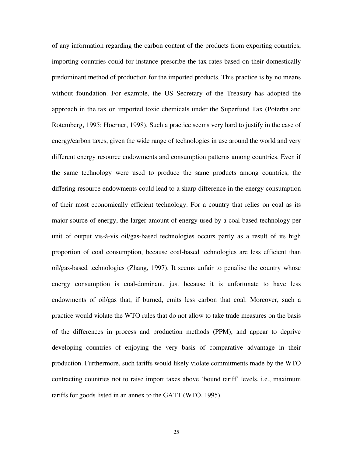of any information regarding the carbon content of the products from exporting countries, importing countries could for instance prescribe the tax rates based on their domestically predominant method of production for the imported products. This practice is by no means without foundation. For example, the US Secretary of the Treasury has adopted the approach in the tax on imported toxic chemicals under the Superfund Tax (Poterba and Rotemberg, 1995; Hoerner, 1998). Such a practice seems very hard to justify in the case of energy/carbon taxes, given the wide range of technologies in use around the world and very different energy resource endowments and consumption patterns among countries. Even if the same technology were used to produce the same products among countries, the differing resource endowments could lead to a sharp difference in the energy consumption of their most economically efficient technology. For a country that relies on coal as its major source of energy, the larger amount of energy used by a coal-based technology per unit of output vis-à-vis oil/gas-based technologies occurs partly as a result of its high proportion of coal consumption, because coal-based technologies are less efficient than oil/gas-based technologies (Zhang, 1997). It seems unfair to penalise the country whose energy consumption is coal-dominant, just because it is unfortunate to have less endowments of oil/gas that, if burned, emits less carbon that coal. Moreover, such a practice would violate the WTO rules that do not allow to take trade measures on the basis of the differences in process and production methods (PPM), and appear to deprive developing countries of enjoying the very basis of comparative advantage in their production. Furthermore, such tariffs would likely violate commitments made by the WTO contracting countries not to raise import taxes above 'bound tariff' levels, i.e., maximum tariffs for goods listed in an annex to the GATT (WTO, 1995).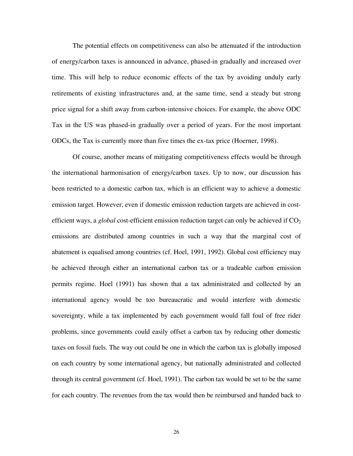The potential effects on competitiveness can also be attenuated if the introduction of energy/carbon taxes is announced in advance, phased-in gradually and increased over time. This will help to reduce economic effects of the tax by avoiding unduly early retirements of existing infrastructures and, at the same time, send a steady but strong price signal for a shift away from carbon-intensive choices. For example, the above ODC Tax in the US was phased-in gradually over a period of years. For the most important ODCs, the Tax is currently more than five times the ex-tax price (Hoerner, 1998).

 Of course, another means of mitigating competitiveness effects would be through the international harmonisation of energy/carbon taxes. Up to now, our discussion has been restricted to a domestic carbon tax, which is an efficient way to achieve a domestic emission target. However, even if domestic emission reduction targets are achieved in costefficient ways, a *global* cost-efficient emission reduction target can only be achieved if  $CO<sub>2</sub>$ emissions are distributed among countries in such a way that the marginal cost of abatement is equalised among countries (cf. Hoel, 1991, 1992). Global cost efficiency may be achieved through either an international carbon tax or a tradeable carbon emission permits regime. Hoel (1991) has shown that a tax administrated and collected by an international agency would be too bureaucratic and would interfere with domestic sovereignty, while a tax implemented by each government would fall foul of free rider problems, since governments could easily offset a carbon tax by reducing other domestic taxes on fossil fuels. The way out could be one in which the carbon tax is globally imposed on each country by some international agency, but nationally administrated and collected through its central government (cf. Hoel, 1991). The carbon tax would be set to be the same for each country. The revenues from the tax would then be reimbursed and handed back to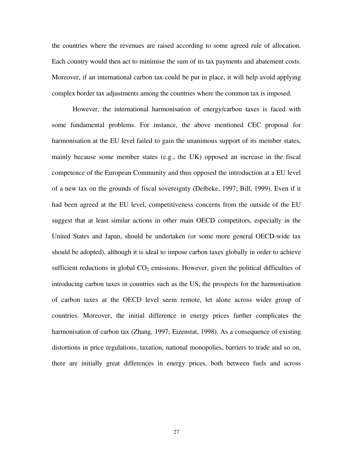the countries where the revenues are raised according to some agreed rule of allocation. Each country would then act to minimise the sum of its tax payments and abatement costs. Moreover, if an international carbon tax could be put in place, it will help avoid applying complex border tax adjustments among the countries where the common tax is imposed.

 However, the international harmonisation of energy/carbon taxes is faced with some fundamental problems. For instance, the above mentioned CEC proposal for harmonisation at the EU level failed to gain the unanimous support of its member states, mainly because some member states (e.g., the UK) opposed an increase in the fiscal competence of the European Community and thus opposed the introduction at a EU level of a new tax on the grounds of fiscal sovereignty (Delbeke, 1997; Bill, 1999). Even if it had been agreed at the EU level, competitiveness concerns from the outside of the EU suggest that at least similar actions in other main OECD competitors, especially in the United States and Japan, should be undertaken (or some more general OECD-wide tax should be adopted), although it is ideal to impose carbon taxes globally in order to achieve sufficient reductions in global  $CO<sub>2</sub>$  emissions. However, given the political difficulties of introducing carbon taxes in countries such as the US, the prospects for the harmonisation of carbon taxes at the OECD level seem remote, let alone across wider group of countries. Moreover, the initial difference in energy prices further complicates the harmonisation of carbon tax (Zhang, 1997; Eizenstat, 1998). As a consequence of existing distortions in price regulations, taxation, national monopolies, barriers to trade and so on, there are initially great differences in energy prices, both between fuels and across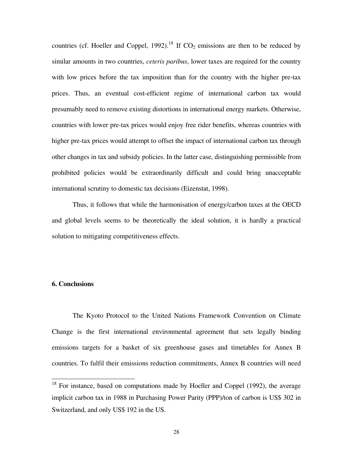countries (cf. Hoeller and Coppel, 1992).<sup>[18](#page-28-0)</sup> If  $CO<sub>2</sub>$  emissions are then to be reduced by similar amounts in two countries, *ceteris paribus*, lower taxes are required for the country with low prices before the tax imposition than for the country with the higher pre-tax prices. Thus, an eventual cost-efficient regime of international carbon tax would presumably need to remove existing distortions in international energy markets. Otherwise, countries with lower pre-tax prices would enjoy free rider benefits, whereas countries with higher pre-tax prices would attempt to offset the impact of international carbon tax through other changes in tax and subsidy policies. In the latter case, distinguishing permissible from prohibited policies would be extraordinarily difficult and could bring unacceptable international scrutiny to domestic tax decisions (Eizenstat, 1998).

 Thus, it follows that while the harmonisation of energy/carbon taxes at the OECD and global levels seems to be theoretically the ideal solution, it is hardly a practical solution to mitigating competitiveness effects.

### **6. Conclusions**

 $\overline{a}$ 

The Kyoto Protocol to the United Nations Framework Convention on Climate Change is the first international environmental agreement that sets legally binding emissions targets for a basket of six greenhouse gases and timetables for Annex B countries. To fulfil their emissions reduction commitments, Annex B countries will need

<span id="page-28-0"></span> $18$  For instance, based on computations made by Hoeller and Coppel (1992), the average implicit carbon tax in 1988 in Purchasing Power Parity (PPP)/ton of carbon is US\$ 302 in Switzerland, and only US\$ 192 in the US.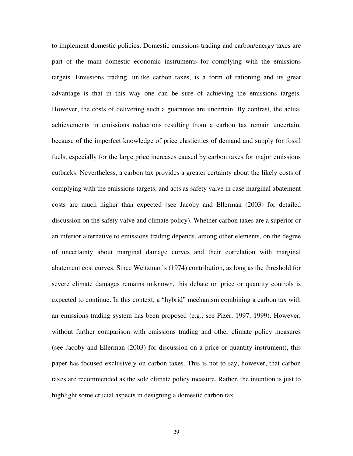to implement domestic policies. Domestic emissions trading and carbon/energy taxes are part of the main domestic economic instruments for complying with the emissions targets. Emissions trading, unlike carbon taxes, is a form of rationing and its great advantage is that in this way one can be sure of achieving the emissions targets. However, the costs of delivering such a guarantee are uncertain. By contrast, the actual achievements in emissions reductions resulting from a carbon tax remain uncertain, because of the imperfect knowledge of price elasticities of demand and supply for fossil fuels, especially for the large price increases caused by carbon taxes for major emissions cutbacks. Nevertheless, a carbon tax provides a greater certainty about the likely costs of complying with the emissions targets, and acts as safety valve in case marginal abatement costs are much higher than expected (see Jacoby and Ellerman (2003) for detailed discussion on the safety valve and climate policy). Whether carbon taxes are a superior or an inferior alternative to emissions trading depends, among other elements, on the degree of uncertainty about marginal damage curves and their correlation with marginal abatement cost curves. Since Weitzman's (1974) contribution, as long as the threshold for severe climate damages remains unknown, this debate on price or quantity controls is expected to continue. In this context, a "hybrid" mechanism combining a carbon tax with an emissions trading system has been proposed (e.g., see Pizer, 1997, 1999). However, without further comparison with emissions trading and other climate policy measures (see Jacoby and Ellerman (2003) for discussion on a price or quantity instrument), this paper has focused exclusively on carbon taxes. This is not to say, however, that carbon taxes are recommended as the sole climate policy measure. Rather, the intention is just to highlight some crucial aspects in designing a domestic carbon tax.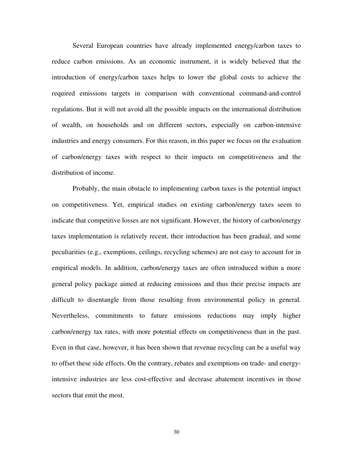Several European countries have already implemented energy/carbon taxes to reduce carbon emissions. As an economic instrument, it is widely believed that the introduction of energy/carbon taxes helps to lower the global costs to achieve the required emissions targets in comparison with conventional command-and-control regulations. But it will not avoid all the possible impacts on the international distribution of wealth, on households and on different sectors, especially on carbon-intensive industries and energy consumers. For this reason, in this paper we focus on the evaluation of carbon/energy taxes with respect to their impacts on competitiveness and the distribution of income.

Probably, the main obstacle to implementing carbon taxes is the potential impact on competitiveness. Yet, empirical studies on existing carbon/energy taxes seem to indicate that competitive losses are not significant. However, the history of carbon/energy taxes implementation is relatively recent, their introduction has been gradual, and some peculiarities (e.g., exemptions, ceilings, recycling schemes) are not easy to account for in empirical models. In addition, carbon/energy taxes are often introduced within a more general policy package aimed at reducing emissions and thus their precise impacts are difficult to disentangle from those resulting from environmental policy in general. Nevertheless, commitments to future emissions reductions may imply higher carbon/energy tax rates, with more potential effects on competitiveness than in the past. Even in that case, however, it has been shown that revenue recycling can be a useful way to offset these side effects. On the contrary, rebates and exemptions on trade- and energyintensive industries are less cost-effective and decrease abatement incentives in those sectors that emit the most.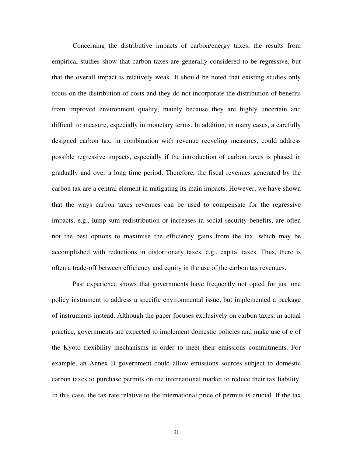Concerning the distributive impacts of carbon/energy taxes, the results from empirical studies show that carbon taxes are generally considered to be regressive, but that the overall impact is relatively weak. It should be noted that existing studies only focus on the distribution of costs and they do not incorporate the distribution of benefits from improved environment quality, mainly because they are highly uncertain and difficult to measure, especially in monetary terms. In addition, in many cases, a carefully designed carbon tax, in combination with revenue recycling measures, could address possible regressive impacts, especially if the introduction of carbon taxes is phased in gradually and over a long time period. Therefore, the fiscal revenues generated by the carbon tax are a central element in mitigating its main impacts. However, we have shown that the ways carbon taxes revenues can be used to compensate for the regressive impacts, e.g., lump-sum redistribution or increases in social security benefits, are often not the best options to maximise the efficiency gains from the tax, which may be accomplished with reductions in distortionary taxes, e.g., capital taxes. Thus, there is often a trade-off between efficiency and equity in the use of the carbon tax revenues.

Past experience shows that governments have frequently not opted for just one policy instrument to address a specific environmental issue, but implemented a package of instruments instead. Although the paper focuses exclusively on carbon taxes, in actual practice, governments are expected to implement domestic policies and make use of e of the Kyoto flexibility mechanisms in order to meet their emissions commitments. For example, an Annex B government could allow emissions sources subject to domestic carbon taxes to purchase permits on the international market to reduce their tax liability. In this case, the tax rate relative to the international price of permits is crucial. If the tax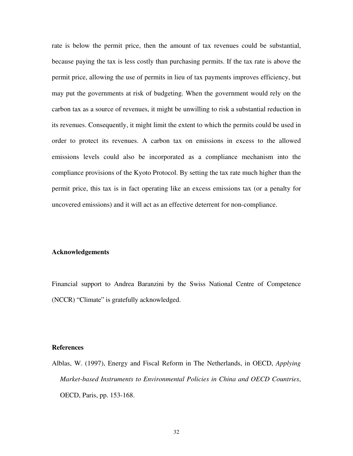rate is below the permit price, then the amount of tax revenues could be substantial, because paying the tax is less costly than purchasing permits. If the tax rate is above the permit price, allowing the use of permits in lieu of tax payments improves efficiency, but may put the governments at risk of budgeting. When the government would rely on the carbon tax as a source of revenues, it might be unwilling to risk a substantial reduction in its revenues. Consequently, it might limit the extent to which the permits could be used in order to protect its revenues. A carbon tax on emissions in excess to the allowed emissions levels could also be incorporated as a compliance mechanism into the compliance provisions of the Kyoto Protocol. By setting the tax rate much higher than the permit price, this tax is in fact operating like an excess emissions tax (or a penalty for uncovered emissions) and it will act as an effective deterrent for non-compliance.

# **Acknowledgements**

Financial support to Andrea Baranzini by the Swiss National Centre of Competence (NCCR) "Climate" is gratefully acknowledged.

#### **References**

Alblas, W. (1997), Energy and Fiscal Reform in The Netherlands, in OECD, *Applying Market-based Instruments to Environmental Policies in China and OECD Countries*, OECD, Paris, pp. 153-168.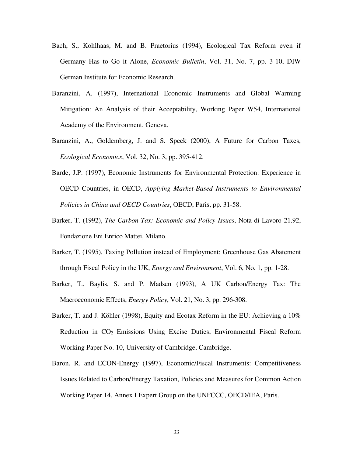- Bach, S., Kohlhaas, M. and B. Praetorius (1994), Ecological Tax Reform even if Germany Has to Go it Alone, *Economic Bulletin*, Vol. 31, No. 7, pp. 3-10, DIW German Institute for Economic Research.
- Baranzini, A. (1997), International Economic Instruments and Global Warming Mitigation: An Analysis of their Acceptability, Working Paper W54, International Academy of the Environment, Geneva.
- Baranzini, A., Goldemberg, J. and S. Speck (2000), A Future for Carbon Taxes, *Ecological Economics*, Vol. 32, No. 3, pp. 395-412.
- Barde, J.P. (1997), Economic Instruments for Environmental Protection: Experience in OECD Countries, in OECD, *Applying Market-Based Instruments to Environmental Policies in China and OECD Countries*, OECD, Paris, pp. 31-58.
- Barker, T. (1992), *The Carbon Tax: Economic and Policy Issues*, Nota di Lavoro 21.92, Fondazione Eni Enrico Mattei, Milano.
- Barker, T. (1995), Taxing Pollution instead of Employment: Greenhouse Gas Abatement through Fiscal Policy in the UK, *Energy and Environment*, Vol. 6, No. 1, pp. 1-28.
- Barker, T., Baylis, S. and P. Madsen (1993), A UK Carbon/Energy Tax: The Macroeconomic Effects, *Energy Policy*, Vol. 21, No. 3, pp. 296-308.
- Barker, T. and J. Köhler (1998), Equity and Ecotax Reform in the EU: Achieving a 10% Reduction in CO<sub>2</sub> Emissions Using Excise Duties, Environmental Fiscal Reform Working Paper No. 10, University of Cambridge, Cambridge.
- Baron, R. and ECON-Energy (1997), Economic/Fiscal Instruments: Competitiveness Issues Related to Carbon/Energy Taxation, Policies and Measures for Common Action Working Paper 14, Annex I Expert Group on the UNFCCC, OECD/IEA, Paris.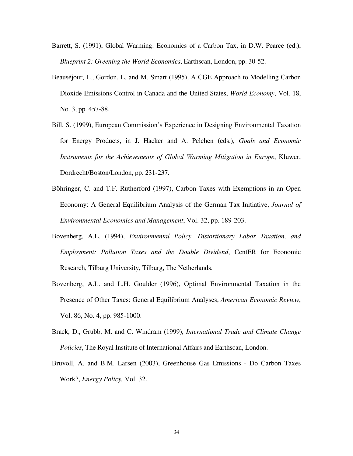- Barrett, S. (1991), Global Warming: Economics of a Carbon Tax, in D.W. Pearce (ed.), *Blueprint 2: Greening the World Economics*, Earthscan, London, pp. 30-52.
- Beauséjour, L., Gordon, L. and M. Smart (1995), A CGE Approach to Modelling Carbon Dioxide Emissions Control in Canada and the United States, *World Economy*, Vol. 18, No. 3, pp. 457-88.
- Bill, S. (1999), European Commission's Experience in Designing Environmental Taxation for Energy Products, in J. Hacker and A. Pelchen (eds.), *Goals and Economic Instruments for the Achievements of Global Warming Mitigation in Europe*, Kluwer, Dordrecht/Boston/London, pp. 231-237.
- Böhringer, C. and T.F. Rutherford (1997), Carbon Taxes with Exemptions in an Open Economy: A General Equilibrium Analysis of the German Tax Initiative, *Journal of Environmental Economics and Management*, Vol. 32, pp. 189-203.
- Bovenberg, A.L. (1994), *Environmental Policy, Distortionary Labor Taxation, and Employment: Pollution Taxes and the Double Dividend*, CentER for Economic Research, Tilburg University, Tilburg, The Netherlands.
- Bovenberg, A.L. and L.H. Goulder (1996), Optimal Environmental Taxation in the Presence of Other Taxes: General Equilibrium Analyses, *American Economic Review*, Vol. 86, No. 4, pp. 985-1000.
- Brack, D., Grubb, M. and C. Windram (1999), *International Trade and Climate Change Policies*, The Royal Institute of International Affairs and Earthscan, London.
- Bruvoll, A. and B.M. Larsen (2003), Greenhouse Gas Emissions Do Carbon Taxes Work?, *Energy Policy,* Vol. 32.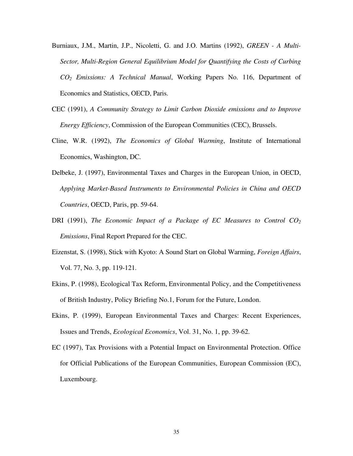- Burniaux, J.M., Martin, J.P., Nicoletti, G. and J.O. Martins (1992), *GREEN A Multi-Sector, Multi-Region General Equilibrium Model for Quantifying the Costs of Curbing CO2 Emissions: A Technical Manual*, Working Papers No. 116, Department of Economics and Statistics, OECD, Paris.
- CEC (1991), *A Community Strategy to Limit Carbon Dioxide emissions and to Improve Energy Efficiency*, Commission of the European Communities (CEC), Brussels.
- Cline, W.R. (1992), *The Economics of Global Warming*, Institute of International Economics, Washington, DC.
- Delbeke, J. (1997), Environmental Taxes and Charges in the European Union, in OECD, *Applying Market-Based Instruments to Environmental Policies in China and OECD Countries*, OECD, Paris, pp. 59-64.
- DRI (1991), *The Economic Impact of a Package of EC Measures to Control CO<sub>2</sub> Emissions*, Final Report Prepared for the CEC.
- Eizenstat, S. (1998), Stick with Kyoto: A Sound Start on Global Warming, *Foreign Affairs*, Vol. 77, No. 3, pp. 119-121.
- Ekins, P. (1998), Ecological Tax Reform, Environmental Policy, and the Competitiveness of British Industry, Policy Briefing No.1, Forum for the Future, London.
- Ekins, P. (1999), European Environmental Taxes and Charges: Recent Experiences, Issues and Trends, *Ecological Economics*, Vol. 31, No. 1, pp. 39-62.
- EC (1997), Tax Provisions with a Potential Impact on Environmental Protection. Office for Official Publications of the European Communities, European Commission (EC), Luxembourg.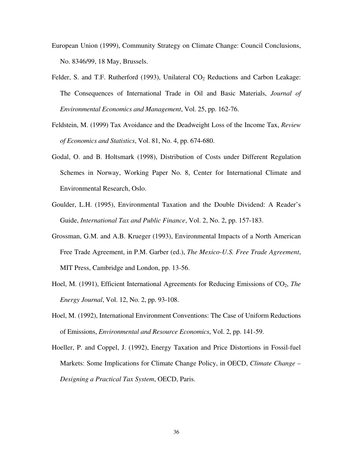- European Union (1999), Community Strategy on Climate Change: Council Conclusions, No. 8346/99, 18 May, Brussels.
- Felder, S. and T.F. Rutherford (1993), Unilateral  $CO<sub>2</sub>$  Reductions and Carbon Leakage: The Consequences of International Trade in Oil and Basic Materials, *Journal of Environmental Economics and Management*, Vol. 25, pp. 162-76.
- Feldstein, M. (1999) Tax Avoidance and the Deadweight Loss of the Income Tax, *Review of Economics and Statistics*, Vol. 81, No. 4, pp. 674-680.
- Godal, O. and B. Holtsmark (1998), Distribution of Costs under Different Regulation Schemes in Norway, Working Paper No. 8, Center for International Climate and Environmental Research, Oslo.
- Goulder, L.H. (1995), Environmental Taxation and the Double Dividend: A Reader's Guide, *International Tax and Public Finance*, Vol. 2, No. 2, pp. 157-183.
- Grossman, G.M. and A.B. Krueger (1993), Environmental Impacts of a North American Free Trade Agreement, in P.M. Garber (ed.), *The Mexico-U.S. Free Trade Agreement*, MIT Press, Cambridge and London, pp. 13-56.
- Hoel, M. (1991), Efficient International Agreements for Reducing Emissions of CO<sub>2</sub>, *The Energy Journal*, Vol. 12, No. 2, pp. 93-108.
- Hoel, M. (1992), International Environment Conventions: The Case of Uniform Reductions of Emissions, *Environmental and Resource Economics*, Vol. 2, pp. 141-59.
- Hoeller, P. and Coppel, J. (1992), Energy Taxation and Price Distortions in Fossil-fuel Markets: Some Implications for Climate Change Policy, in OECD, *Climate Change – Designing a Practical Tax System*, OECD, Paris.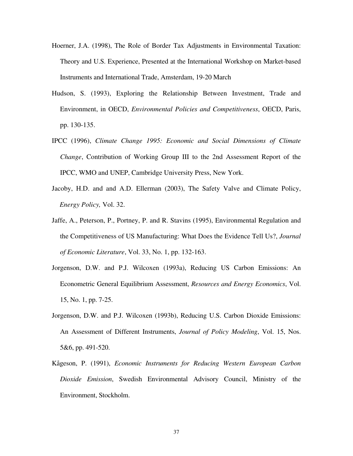- Hoerner, J.A. (1998), The Role of Border Tax Adjustments in Environmental Taxation: Theory and U.S. Experience, Presented at the International Workshop on Market-based Instruments and International Trade, Amsterdam, 19-20 March
- Hudson, S. (1993), Exploring the Relationship Between Investment, Trade and Environment, in OECD, *Environmental Policies and Competitiveness*, OECD, Paris, pp. 130-135.
- IPCC (1996), *Climate Change 1995: Economic and Social Dimensions of Climate Change*, Contribution of Working Group III to the 2nd Assessment Report of the IPCC, WMO and UNEP, Cambridge University Press, New York.
- Jacoby, H.D. and and A.D. Ellerman (2003), The Safety Valve and Climate Policy, *Energy Policy,* Vol. 32.
- Jaffe, A., Peterson, P., Portney, P. and R. Stavins (1995), Environmental Regulation and the Competitiveness of US Manufacturing: What Does the Evidence Tell Us?, *Journal of Economic Literature*, Vol. 33, No. 1, pp. 132-163.
- Jorgenson, D.W. and P.J. Wilcoxen (1993a), Reducing US Carbon Emissions: An Econometric General Equilibrium Assessment, *Resources and Energy Economics*, Vol. 15, No. 1, pp. 7-25.
- Jorgenson, D.W. and P.J. Wilcoxen (1993b), Reducing U.S. Carbon Dioxide Emissions: An Assessment of Different Instruments, *Journal of Policy Modeling*, Vol. 15, Nos. 5&6, pp. 491-520.
- Kågeson, P. (1991), *Economic Instruments for Reducing Western European Carbon Dioxide Emission*, Swedish Environmental Advisory Council, Ministry of the Environment, Stockholm.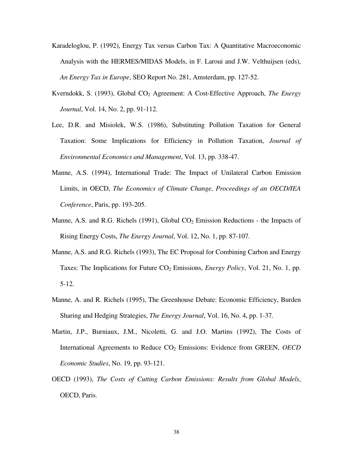- Karadeloglou, P. (1992), Energy Tax versus Carbon Tax: A Quantitative Macroeconomic Analysis with the HERMES/MIDAS Models, in F. Laroui and J.W. Velthuijsen (eds), *An Energy Tax in Europe*, SEO Report No. 281, Amsterdam, pp. 127-52.
- Kverndokk, S. (1993), Global CO2 Agreement: A Cost-Effective Approach, *The Energy Journal*, Vol. 14, No. 2, pp. 91-112.
- Lee, D.R. and Misiolek, W.S. (1986), Substituting Pollution Taxation for General Taxation: Some Implications for Efficiency in Pollution Taxation, *Journal of Environmental Economics and Management*, Vol. 13, pp. 338-47.
- Manne, A.S. (1994), International Trade: The Impact of Unilateral Carbon Emission Limits, in OECD, *The Economics of Climate Change, Proceedings of an OECD/IEA Conference*, Paris, pp. 193-205.
- Manne, A.S. and R.G. Richels (1991), Global  $CO<sub>2</sub>$  Emission Reductions the Impacts of Rising Energy Costs, *The Energy Journal*, Vol. 12, No. 1, pp. 87-107.
- Manne, A.S. and R.G. Richels (1993), The EC Proposal for Combining Carbon and Energy Taxes: The Implications for Future CO<sub>2</sub> Emissions, *Energy Policy*, Vol. 21, No. 1, pp. 5-12.
- Manne, A. and R. Richels (1995), The Greenhouse Debate: Economic Efficiency, Burden Sharing and Hedging Strategies, *The Energy Journal*, Vol. 16, No. 4, pp. 1-37.
- Martin, J.P., Burniaux, J.M., Nicoletti, G. and J.O. Martins (1992), The Costs of International Agreements to Reduce CO<sub>2</sub> Emissions: Evidence from GREEN, *OECD Economic Studies*, No. 19, pp. 93-121.
- OECD (1993), *The Costs of Cutting Carbon Emissions: Results from Global Models*, OECD, Paris.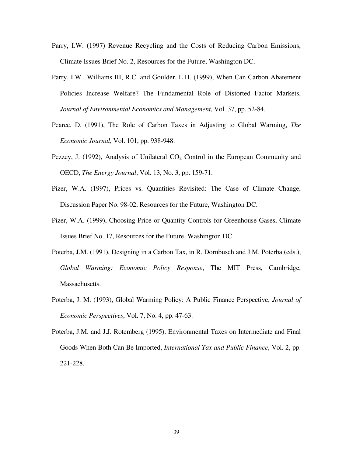- Parry, I.W. (1997) Revenue Recycling and the Costs of Reducing Carbon Emissions, Climate Issues Brief No. 2, Resources for the Future, Washington DC.
- Parry, I.W., Williams III, R.C. and Goulder, L.H. (1999), When Can Carbon Abatement Policies Increase Welfare? The Fundamental Role of Distorted Factor Markets, *Journal of Environmental Economics and Management*, Vol. 37, pp. 52-84.
- Pearce, D. (1991), The Role of Carbon Taxes in Adjusting to Global Warming, *The Economic Journal*, Vol. 101, pp. 938-948.
- Pezzey, J. (1992), Analysis of Unilateral  $CO<sub>2</sub>$  Control in the European Community and OECD, *The Energy Journal*, Vol. 13, No. 3, pp. 159-71.
- Pizer, W.A. (1997), Prices vs. Quantities Revisited: The Case of Climate Change, Discussion Paper No. 98-02, Resources for the Future, Washington DC.
- Pizer, W.A. (1999), Choosing Price or Quantity Controls for Greenhouse Gases, Climate Issues Brief No. 17, Resources for the Future, Washington DC.
- Poterba, J.M. (1991), Designing in a Carbon Tax, in R. Dornbusch and J.M. Poterba (eds.), *Global Warming: Economic Policy Response*, The MIT Press, Cambridge, Massachusetts.
- Poterba, J. M. (1993), Global Warming Policy: A Public Finance Perspective, *Journal of Economic Perspectives*, Vol. 7, No. 4, pp. 47-63.
- Poterba, J.M. and J.J. Rotemberg (1995), Environmental Taxes on Intermediate and Final Goods When Both Can Be Imported, *International Tax and Public Finance*, Vol. 2, pp. 221-228.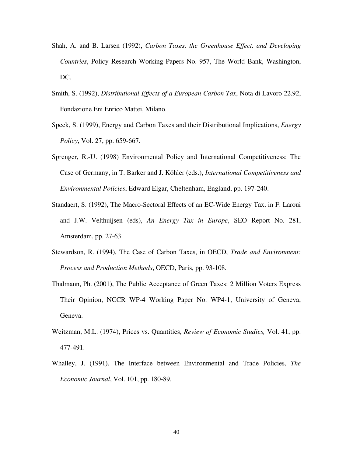- Shah, A. and B. Larsen (1992), *Carbon Taxes, the Greenhouse Effect, and Developing Countries*, Policy Research Working Papers No. 957, The World Bank, Washington, DC.
- Smith, S. (1992), *Distributional Effects of a European Carbon Tax*, Nota di Lavoro 22.92, Fondazione Eni Enrico Mattei, Milano.
- Speck, S. (1999), Energy and Carbon Taxes and their Distributional Implications, *Energy Policy*, Vol. 27, pp. 659-667.
- Sprenger, R.-U. (1998) Environmental Policy and International Competitiveness: The Case of Germany, in T. Barker and J. Köhler (eds.), *International Competitiveness and Environmental Policies*, Edward Elgar, Cheltenham, England, pp. 197-240.
- Standaert, S. (1992), The Macro-Sectoral Effects of an EC-Wide Energy Tax, in F. Laroui and J.W. Velthuijsen (eds), *An Energy Tax in Europe*, SEO Report No. 281, Amsterdam, pp. 27-63.
- Stewardson, R. (1994), The Case of Carbon Taxes, in OECD, *Trade and Environment: Process and Production Methods*, OECD, Paris, pp. 93-108.
- Thalmann, Ph. (2001), The Public Acceptance of Green Taxes: 2 Million Voters Express Their Opinion, NCCR WP-4 Working Paper No. WP4-1, University of Geneva, Geneva.
- Weitzman, M.L. (1974), Prices vs. Quantities, *Review of Economic Studies,* Vol. 41, pp. 477-491.
- Whalley, J. (1991), The Interface between Environmental and Trade Policies, *The Economic Journal*, Vol. 101, pp. 180-89.